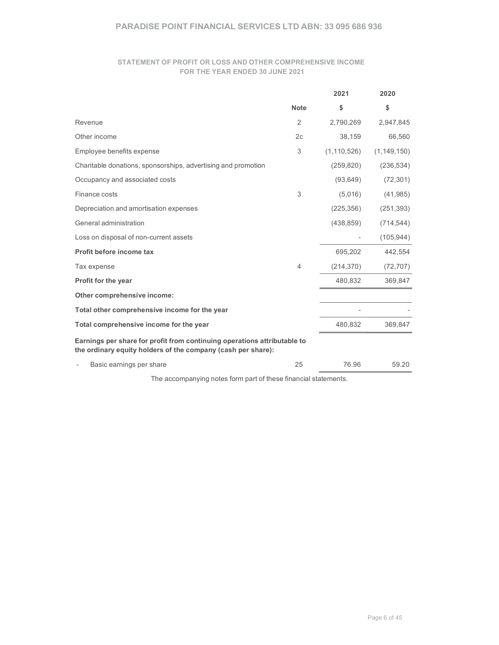# PARADISE POINT FINANCIAL SERVICES LTD ABN: 33 095 686 936<br>STATEMENT OF PROFIT OR LOSS AND OTHER COMPREHENSIVE INCOME<br>FOR THE YEAR ENDED 30 JUNE 2021 STATEMENT OF PROFIT OR LOSS AND OTHER COMPREHENSIVE INCOME FOR THE YEAR ENDED 30 JUNE 2021

|                                                                                                                                          |                | 2021                     | 2020          |
|------------------------------------------------------------------------------------------------------------------------------------------|----------------|--------------------------|---------------|
|                                                                                                                                          | <b>Note</b>    | \$                       | \$            |
| Revenue                                                                                                                                  | 2              | 2,790,269                | 2,947,845     |
| Other income                                                                                                                             | 2 <sub>c</sub> | 38,159                   | 66,560        |
| Employee benefits expense                                                                                                                | 3              | (1, 110, 526)            | (1, 149, 150) |
| Charitable donations, sponsorships, advertising and promotion                                                                            |                | (259, 820)               | (236, 534)    |
| Occupancy and associated costs                                                                                                           |                | (93, 649)                | (72, 301)     |
| Finance costs                                                                                                                            | 3              | (5,016)                  | (41, 985)     |
| Depreciation and amortisation expenses                                                                                                   |                | (225, 356)               | (251, 393)    |
| General administration                                                                                                                   |                | (438, 859)               | (714, 544)    |
| Loss on disposal of non-current assets                                                                                                   |                | $\overline{\phantom{a}}$ | (105, 944)    |
| Profit before income tax                                                                                                                 |                | 695,202                  | 442,554       |
| Tax expense                                                                                                                              | 4              | (214, 370)               | (72, 707)     |
| Profit for the year                                                                                                                      |                | 480,832                  | 369,847       |
| Other comprehensive income:                                                                                                              |                |                          |               |
| Total other comprehensive income for the year                                                                                            |                |                          |               |
| Total comprehensive income for the year                                                                                                  |                | 480,832                  | 369,847       |
| Earnings per share for profit from continuing operations attributable to<br>the ordinary equity holders of the company (cash per share): |                |                          |               |
| Basic earnings per share<br>-                                                                                                            | 25             | 76.96                    | 59.20         |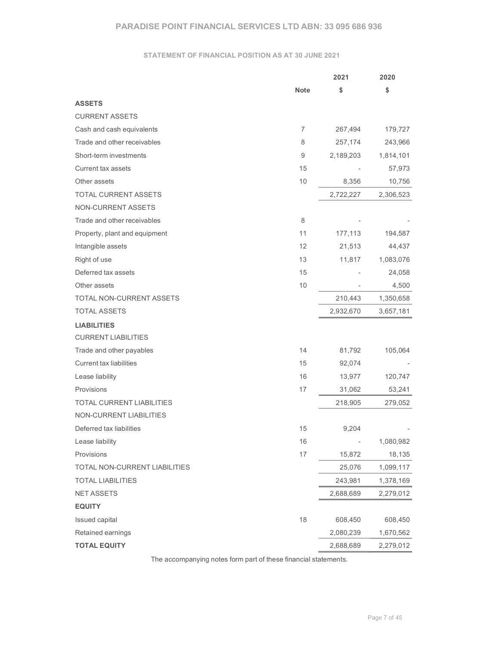# PARADISE POINT FINANCIAL SERVICES LTD ABN: 33 095 686 936<br>STATEMENT OF FINANCIAL POSITION AS AT 30 JUNE 2021<br>2021 2020

## STATEMENT OF FINANCIAL POSITION AS AT 30 JUNE 2021

| <b>PARADISE POINT FINANCIAL SERVICES LTD ABN: 33 095 686 936</b> |                |                          |                          |  |
|------------------------------------------------------------------|----------------|--------------------------|--------------------------|--|
| <b>STATEMENT OF FINANCIAL POSITION AS AT 30 JUNE 2021</b>        |                |                          |                          |  |
|                                                                  |                | 2021                     | 2020                     |  |
|                                                                  | <b>Note</b>    | \$                       | \$                       |  |
| <b>ASSETS</b>                                                    |                |                          |                          |  |
| <b>CURRENT ASSETS</b>                                            |                |                          |                          |  |
| Cash and cash equivalents                                        | $\overline{7}$ | 267,494                  | 179,727                  |  |
| Trade and other receivables                                      | 8              | 257,174                  | 243,966                  |  |
| Short-term investments                                           | 9              | 2,189,203                | 1,814,101                |  |
| <b>Current tax assets</b>                                        | 15             | $\overline{\phantom{a}}$ | 57,973                   |  |
| Other assets                                                     | $10$           | 8,356                    | 10,756                   |  |
| TOTAL CURRENT ASSETS                                             |                | 2,722,227                | 2,306,523                |  |
| NON-CURRENT ASSETS                                               |                |                          |                          |  |
| Trade and other receivables                                      | 8              |                          |                          |  |
| Property, plant and equipment                                    | 11             | 177,113                  | 194,587                  |  |
| Intangible assets                                                | 12             | 21,513                   | 44,437                   |  |
| Right of use                                                     | 13             | 11,817                   | 1,083,076                |  |
| Deferred tax assets                                              | 15             | $\overline{\phantom{a}}$ | 24,058                   |  |
| Other assets                                                     | $10$           |                          | 4,500                    |  |
| TOTAL NON-CURRENT ASSETS                                         |                | 210,443                  | 1,350,658                |  |
| TOTAL ASSETS                                                     |                | 2,932,670                | 3,657,181                |  |
| <b>LIABILITIES</b>                                               |                |                          |                          |  |
| <b>CURRENT LIABILITIES</b>                                       |                |                          |                          |  |
| Trade and other payables                                         | 14             | 81,792                   | 105,064                  |  |
| Current tax liabilities                                          | 15             | 92,074                   | $\overline{\phantom{a}}$ |  |
| Lease liability                                                  | 16             | 13,977                   | 120,747                  |  |
| Provisions                                                       | $17$           | 31,062                   | 53,241                   |  |
| TOTAL CURRENT LIABILITIES                                        |                | 218,905                  | 279,052                  |  |
| NON-CURRENT LIABILITIES                                          |                |                          |                          |  |
| Deferred tax liabilities                                         | 15             | 9,204                    |                          |  |
| Lease liability                                                  | 16             | $\overline{\phantom{a}}$ | 1,080,982                |  |
| Provisions                                                       | 17             | 15,872                   | 18,135                   |  |
| TOTAL NON-CURRENT LIABILITIES                                    |                | 25,076                   | 1,099,117                |  |
| <b>TOTAL LIABILITIES</b>                                         |                | 243,981                  | 1,378,169                |  |
| NET ASSETS                                                       |                | 2,688,689                | 2,279,012                |  |
| <b>EQUITY</b>                                                    |                |                          |                          |  |
| Issued capital                                                   | 18             | 608,450                  | 608,450                  |  |
| Retained earnings                                                |                | 2,080,239                | 1,670,562                |  |
|                                                                  |                |                          |                          |  |
| <b>TOTAL EQUITY</b>                                              |                | 2,688,689                | 2,279,012                |  |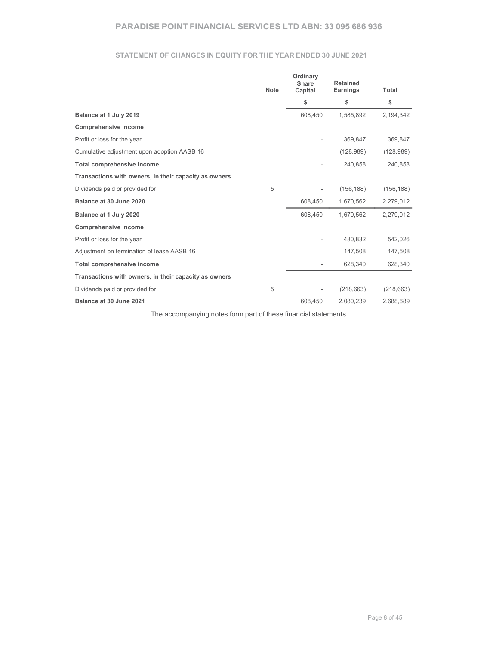## STATEMENT OF CHANGES IN EQUITY FOR THE YEAR ENDED 30 JUNE 2021

| <b>PARADISE POINT FINANCIAL SERVICES LTD ABN: 33 095 686 936</b>                        |             |                          |                |                    |
|-----------------------------------------------------------------------------------------|-------------|--------------------------|----------------|--------------------|
|                                                                                         |             |                          |                |                    |
|                                                                                         |             |                          |                |                    |
| STATEMENT OF CHANGES IN EQUITY FOR THE YEAR ENDED 30 JUNE 2021                          |             |                          |                |                    |
|                                                                                         |             | Ordinary<br>Share        | Retained       |                    |
|                                                                                         | <b>Note</b> | Capital<br>\$            | Earnings<br>\$ | <b>Total</b><br>\$ |
| Balance at 1 July 2019                                                                  |             | 608,450                  | 1,585,892      | 2,194,342          |
|                                                                                         |             |                          |                |                    |
|                                                                                         |             |                          |                |                    |
| <b>Comprehensive income</b>                                                             |             |                          |                |                    |
| Profit or loss for the year                                                             |             |                          | 369,847        | 369,847            |
| Cumulative adjustment upon adoption AASB 16                                             |             | $\sim$                   | (128, 989)     | (128, 989)         |
| Total comprehensive income                                                              |             |                          | 240,858        | 240,858            |
| Transactions with owners, in their capacity as owners                                   |             | $\overline{\phantom{a}}$ |                |                    |
| Dividends paid or provided for                                                          | $\,$ 5 $\,$ |                          | (156, 188)     | (156, 188)         |
| Balance at 30 June 2020                                                                 |             | 608,450                  | 1,670,562      | 2,279,012          |
| Balance at 1 July 2020                                                                  |             | 608,450                  | 1,670,562      | 2,279,012          |
| <b>Comprehensive income</b>                                                             |             |                          |                |                    |
| Profit or loss for the year                                                             |             |                          | 480,832        | 542,026            |
| Adjustment on termination of lease AASB 16                                              |             | $\overline{\phantom{a}}$ | 147,508        | 147,508            |
| Total comprehensive income                                                              |             |                          | 628,340        | 628,340            |
| Transactions with owners, in their capacity as owners<br>Dividends paid or provided for | 5           |                          | (218, 663)     | (218, 663)         |